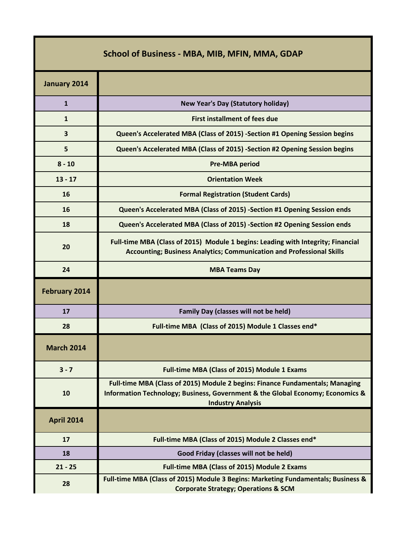| <b>School of Business - MBA, MIB, MFIN, MMA, GDAP</b> |                                                                                                                                                                                             |  |
|-------------------------------------------------------|---------------------------------------------------------------------------------------------------------------------------------------------------------------------------------------------|--|
| January 2014                                          |                                                                                                                                                                                             |  |
| $\mathbf{1}$                                          | <b>New Year's Day (Statutory holiday)</b>                                                                                                                                                   |  |
| $\mathbf{1}$                                          | <b>First installment of fees due</b>                                                                                                                                                        |  |
| 3                                                     | Queen's Accelerated MBA (Class of 2015) -Section #1 Opening Session begins                                                                                                                  |  |
| 5                                                     | Queen's Accelerated MBA (Class of 2015) -Section #2 Opening Session begins                                                                                                                  |  |
| $8 - 10$                                              | <b>Pre-MBA period</b>                                                                                                                                                                       |  |
| $13 - 17$                                             | <b>Orientation Week</b>                                                                                                                                                                     |  |
| 16                                                    | <b>Formal Registration (Student Cards)</b>                                                                                                                                                  |  |
| 16                                                    | Queen's Accelerated MBA (Class of 2015) -Section #1 Opening Session ends                                                                                                                    |  |
| 18                                                    | Queen's Accelerated MBA (Class of 2015) -Section #2 Opening Session ends                                                                                                                    |  |
| 20                                                    | Full-time MBA (Class of 2015) Module 1 begins: Leading with Integrity; Financial<br><b>Accounting; Business Analytics; Communication and Professional Skills</b>                            |  |
| 24                                                    | <b>MBA Teams Day</b>                                                                                                                                                                        |  |
| <b>February 2014</b>                                  |                                                                                                                                                                                             |  |
| 17                                                    | Family Day (classes will not be held)                                                                                                                                                       |  |
| 28                                                    | Full-time MBA (Class of 2015) Module 1 Classes end*                                                                                                                                         |  |
| <b>March 2014</b>                                     |                                                                                                                                                                                             |  |
| $3 - 7$                                               | <b>Full-time MBA (Class of 2015) Module 1 Exams</b>                                                                                                                                         |  |
| 10                                                    | Full-time MBA (Class of 2015) Module 2 begins: Finance Fundamentals; Managing<br>Information Technology; Business, Government & the Global Economy; Economics &<br><b>Industry Analysis</b> |  |
| <b>April 2014</b>                                     |                                                                                                                                                                                             |  |
| 17                                                    | Full-time MBA (Class of 2015) Module 2 Classes end*                                                                                                                                         |  |
| 18                                                    | Good Friday (classes will not be held)                                                                                                                                                      |  |
| $21 - 25$                                             | <b>Full-time MBA (Class of 2015) Module 2 Exams</b>                                                                                                                                         |  |
| 28                                                    | Full-time MBA (Class of 2015) Module 3 Begins: Marketing Fundamentals; Business &<br><b>Corporate Strategy; Operations &amp; SCM</b>                                                        |  |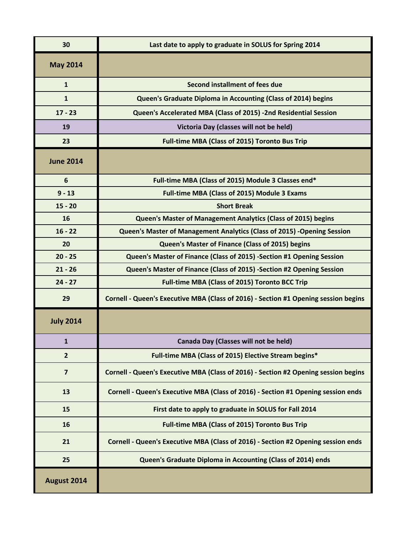| 30               | Last date to apply to graduate in SOLUS for Spring 2014                             |
|------------------|-------------------------------------------------------------------------------------|
| <b>May 2014</b>  |                                                                                     |
| $\mathbf{1}$     | Second installment of fees due                                                      |
| $\mathbf{1}$     | Queen's Graduate Diploma in Accounting (Class of 2014) begins                       |
| $17 - 23$        | Queen's Accelerated MBA (Class of 2015) -2nd Residential Session                    |
| 19               | Victoria Day (classes will not be held)                                             |
| 23               | <b>Full-time MBA (Class of 2015) Toronto Bus Trip</b>                               |
| <b>June 2014</b> |                                                                                     |
| 6                | Full-time MBA (Class of 2015) Module 3 Classes end*                                 |
| $9 - 13$         | Full-time MBA (Class of 2015) Module 3 Exams                                        |
| $15 - 20$        | <b>Short Break</b>                                                                  |
| 16               | Queen's Master of Management Analytics (Class of 2015) begins                       |
| $16 - 22$        | Queen's Master of Management Analytics (Class of 2015) -Opening Session             |
| 20               | Queen's Master of Finance (Class of 2015) begins                                    |
| $20 - 25$        | Queen's Master of Finance (Class of 2015) -Section #1 Opening Session               |
| $21 - 26$        | Queen's Master of Finance (Class of 2015) -Section #2 Opening Session               |
| $24 - 27$        | <b>Full-time MBA (Class of 2015) Toronto BCC Trip</b>                               |
| 29               | Cornell - Queen's Executive MBA (Class of 2016) - Section #1 Opening session begins |
| <b>July 2014</b> |                                                                                     |
| 1                | Canada Day (Classes will not be held)                                               |
| $\overline{2}$   | Full-time MBA (Class of 2015) Elective Stream begins*                               |
| $\overline{7}$   | Cornell - Queen's Executive MBA (Class of 2016) - Section #2 Opening session begins |
| 13               | Cornell - Queen's Executive MBA (Class of 2016) - Section #1 Opening session ends   |
| 15               | First date to apply to graduate in SOLUS for Fall 2014                              |
| 16               | <b>Full-time MBA (Class of 2015) Toronto Bus Trip</b>                               |
| 21               | Cornell - Queen's Executive MBA (Class of 2016) - Section #2 Opening session ends   |
| 25               | Queen's Graduate Diploma in Accounting (Class of 2014) ends                         |
| August 2014      |                                                                                     |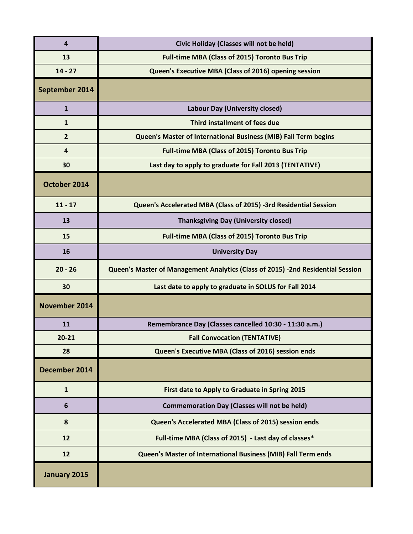| 4              | Civic Holiday (Classes will not be held)                                        |
|----------------|---------------------------------------------------------------------------------|
| 13             | <b>Full-time MBA (Class of 2015) Toronto Bus Trip</b>                           |
| $14 - 27$      | Queen's Executive MBA (Class of 2016) opening session                           |
| September 2014 |                                                                                 |
| $\mathbf{1}$   | Labour Day (University closed)                                                  |
| $\mathbf{1}$   | Third installment of fees due                                                   |
| $\overline{2}$ | Queen's Master of International Business (MIB) Fall Term begins                 |
| 4              | <b>Full-time MBA (Class of 2015) Toronto Bus Trip</b>                           |
| 30             | Last day to apply to graduate for Fall 2013 (TENTATIVE)                         |
| October 2014   |                                                                                 |
| $11 - 17$      | Queen's Accelerated MBA (Class of 2015) -3rd Residential Session                |
| 13             | <b>Thanksgiving Day (University closed)</b>                                     |
| 15             | <b>Full-time MBA (Class of 2015) Toronto Bus Trip</b>                           |
| 16             | <b>University Day</b>                                                           |
|                |                                                                                 |
| $20 - 26$      | Queen's Master of Management Analytics (Class of 2015) -2nd Residential Session |
| 30             | Last date to apply to graduate in SOLUS for Fall 2014                           |
| November 2014  |                                                                                 |
| 11             | Remembrance Day (Classes cancelled 10:30 - 11:30 a.m.)                          |
| $20 - 21$      | <b>Fall Convocation (TENTATIVE)</b>                                             |
| 28             | Queen's Executive MBA (Class of 2016) session ends                              |
| December 2014  |                                                                                 |
| $\mathbf{1}$   | First date to Apply to Graduate in Spring 2015                                  |
| 6              | <b>Commemoration Day (Classes will not be held)</b>                             |
| 8              | Queen's Accelerated MBA (Class of 2015) session ends                            |
| 12             | Full-time MBA (Class of 2015) - Last day of classes*                            |
| 12             | Queen's Master of International Business (MIB) Fall Term ends                   |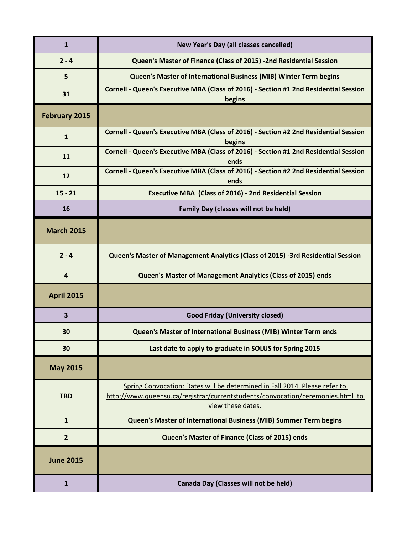| $\mathbf{1}$            | New Year's Day (all classes cancelled)                                                                                                                                            |
|-------------------------|-----------------------------------------------------------------------------------------------------------------------------------------------------------------------------------|
| $2 - 4$                 | Queen's Master of Finance (Class of 2015) -2nd Residential Session                                                                                                                |
| 5                       | Queen's Master of International Business (MIB) Winter Term begins                                                                                                                 |
| 31                      | Cornell - Queen's Executive MBA (Class of 2016) - Section #1 2nd Residential Session<br>begins                                                                                    |
| <b>February 2015</b>    |                                                                                                                                                                                   |
| $\mathbf{1}$            | Cornell - Queen's Executive MBA (Class of 2016) - Section #2 2nd Residential Session<br>begins                                                                                    |
| 11                      | Cornell - Queen's Executive MBA (Class of 2016) - Section #1 2nd Residential Session<br>ends                                                                                      |
| 12                      | Cornell - Queen's Executive MBA (Class of 2016) - Section #2 2nd Residential Session<br>ends                                                                                      |
| $15 - 21$               | <b>Executive MBA (Class of 2016) - 2nd Residential Session</b>                                                                                                                    |
| 16                      | Family Day (classes will not be held)                                                                                                                                             |
| <b>March 2015</b>       |                                                                                                                                                                                   |
| $2 - 4$                 | Queen's Master of Management Analytics (Class of 2015) -3rd Residential Session                                                                                                   |
| 4                       | Queen's Master of Management Analytics (Class of 2015) ends                                                                                                                       |
| <b>April 2015</b>       |                                                                                                                                                                                   |
| $\overline{\mathbf{3}}$ | <b>Good Friday (University closed)</b>                                                                                                                                            |
| 30                      | Queen's Master of International Business (MIB) Winter Term ends                                                                                                                   |
| 30                      | Last date to apply to graduate in SOLUS for Spring 2015                                                                                                                           |
| <b>May 2015</b>         |                                                                                                                                                                                   |
| <b>TBD</b>              | Spring Convocation: Dates will be determined in Fall 2014. Please refer to<br>http://www.queensu.ca/registrar/currentstudents/convocation/ceremonies.html to<br>view these dates. |
| $\mathbf{1}$            | Queen's Master of International Business (MIB) Summer Term begins                                                                                                                 |
| $\overline{2}$          | Queen's Master of Finance (Class of 2015) ends                                                                                                                                    |
| <b>June 2015</b>        |                                                                                                                                                                                   |
| $\mathbf{1}$            | Canada Day (Classes will not be held)                                                                                                                                             |